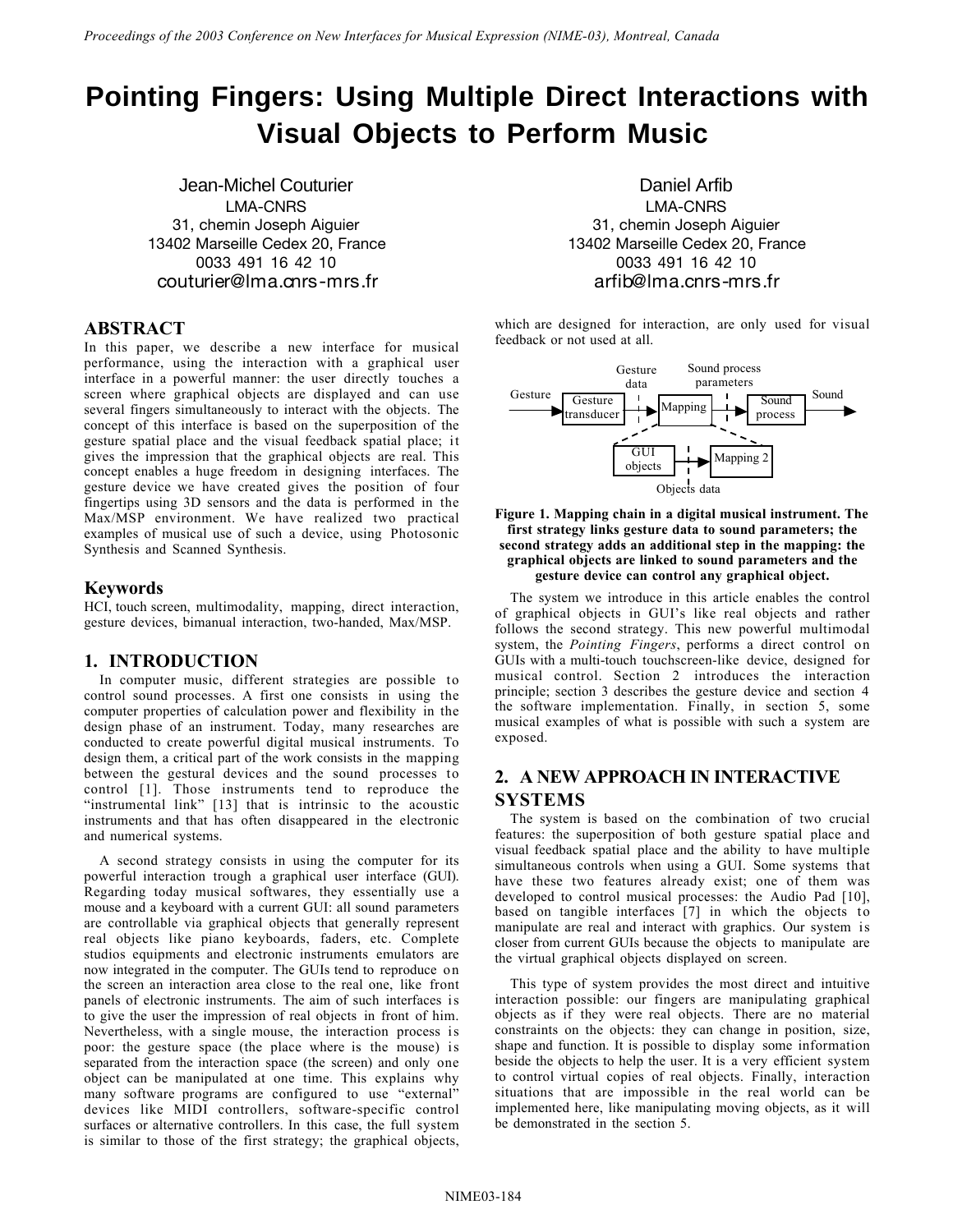# **Pointing Fingers: Using Multiple Direct Interactions with Visual Objects to Perform Music**

Jean-Michel Couturier Daniel Arfib LMA-CNRS 31, chemin Joseph Aiguier 13402 Marseille Cedex 20, France 0033 491 16 42 10 couturier@lma.cnrs-mrs.fr

#### **ABSTRACT**

In this paper, we describe a new interface for musical performance, using the interaction with a graphical user interface in a powerful manner: the user directly touches a screen where graphical objects are displayed and can use several fingers simultaneously to interact with the objects. The concept of this interface is based on the superposition of the gesture spatial place and the visual feedback spatial place; it gives the impression that the graphical objects are real. This concept enables a huge freedom in designing interfaces. The gesture device we have created gives the position of four fingertips using 3D sensors and the data is performed in the Max/MSP environment. We have realized two practical examples of musical use of such a device, using Photosonic Synthesis and Scanned Synthesis.

#### **Keywords**

HCI, touch screen, multimodality, mapping, direct interaction, gesture devices, bimanual interaction, two-handed, Max/MSP.

#### **1. INTRODUCTION**

In computer music, different strategies are possible to control sound processes. A first one consists in using the computer properties of calculation power and flexibility in the design phase of an instrument. Today, many researches are conducted to create powerful digital musical instruments. To design them, a critical part of the work consists in the mapping between the gestural devices and the sound processes to control [1]. Those instruments tend to reproduce the "instrumental link" [13] that is intrinsic to the acoustic instruments and that has often disappeared in the electronic and numerical systems.

A second strategy consists in using the computer for its powerful interaction trough a graphical user interface (GUI). Regarding today musical softwares, they essentially use a mouse and a keyboard with a current GUI: all sound parameters are controllable via graphical objects that generally represent real objects like piano keyboards, faders, etc. Complete studios equipments and electronic instruments emulators are now integrated in the computer. The GUIs tend to reproduce on the screen an interaction area close to the real one, like front panels of electronic instruments. The aim of such interfaces is to give the user the impression of real objects in front of him. Nevertheless, with a single mouse, the interaction process is poor: the gesture space (the place where is the mouse) is separated from the interaction space (the screen) and only one object can be manipulated at one time. This explains why many software programs are configured to use "external" devices like MIDI controllers, software-specific control surfaces or alternative controllers. In this case, the full system is similar to those of the first strategy; the graphical objects,

LMA-CNRS 31, chemin Joseph Aiguier 13402 Marseille Cedex 20, France 0033 491 16 42 10 arfib@lma.cnrs-mrs.fr

which are designed for interaction, are only used for visual feedback or not used at all.





The system we introduce in this article enables the control of graphical objects in GUI's like real objects and rather follows the second strategy. This new powerful multimodal system, the *Pointing Fingers*, performs a direct control on GUIs with a multi-touch touchscreen-like device, designed for musical control. Section 2 introduces the interaction principle; section 3 describes the gesture device and section 4 the software implementation. Finally, in section 5, some musical examples of what is possible with such a system are exposed.

# **2. A NEW APPROACH IN INTERACTIVE SYSTEMS**

The system is based on the combination of two crucial features: the superposition of both gesture spatial place and visual feedback spatial place and the ability to have multiple simultaneous controls when using a GUI. Some systems that have these two features already exist; one of them was developed to control musical processes: the Audio Pad [10], based on tangible interfaces [7] in which the objects to manipulate are real and interact with graphics. Our system is closer from current GUIs because the objects to manipulate are the virtual graphical objects displayed on screen.

This type of system provides the most direct and intuitive interaction possible: our fingers are manipulating graphical objects as if they were real objects. There are no material constraints on the objects: they can change in position, size, shape and function. It is possible to display some information beside the objects to help the user. It is a very efficient system to control virtual copies of real objects. Finally, interaction situations that are impossible in the real world can be implemented here, like manipulating moving objects, as it will be demonstrated in the section 5.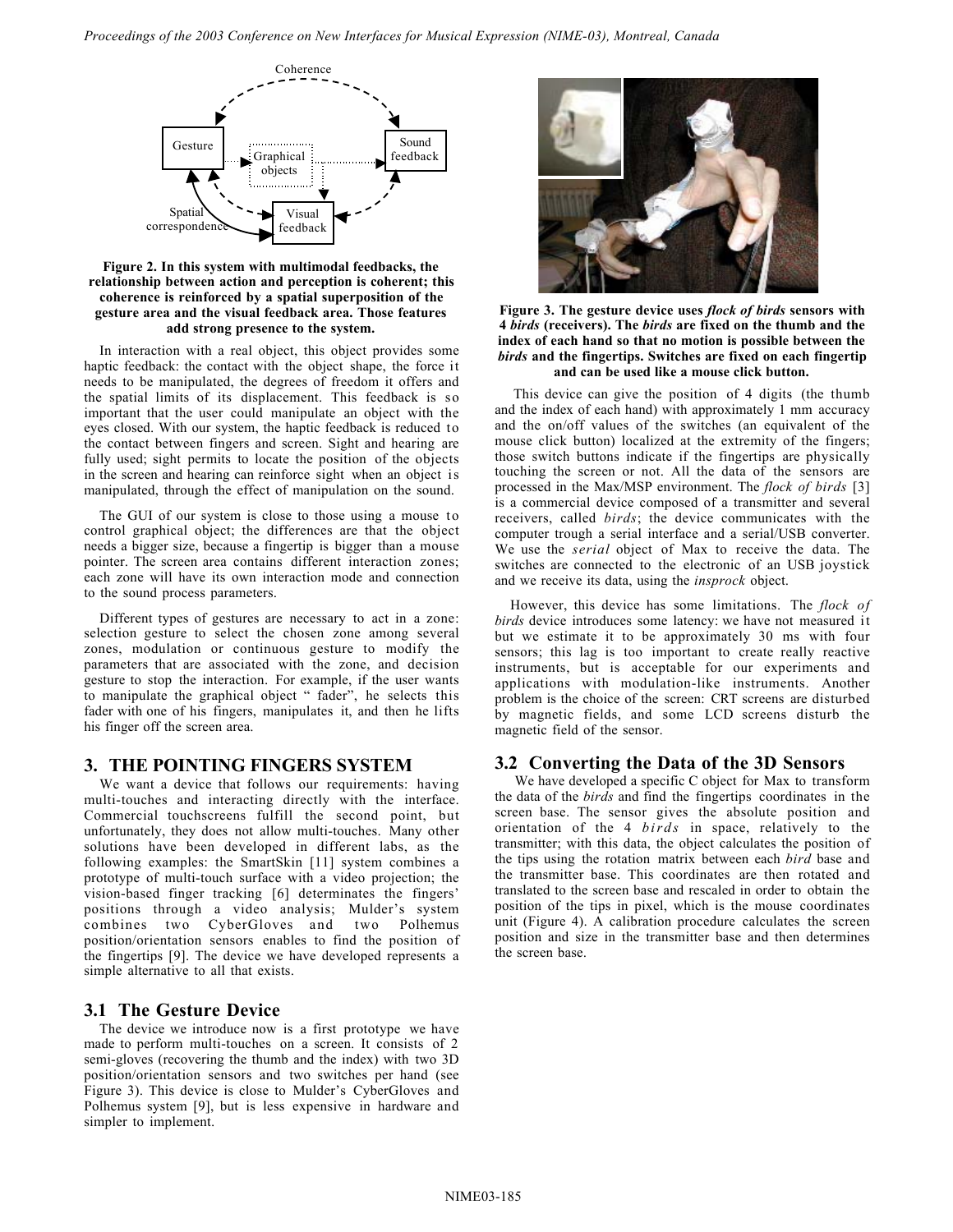

**Figure 2. In this system with multimodal feedbacks, the relationship between action and perception is coherent; this coherence is reinforced by a spatial superposition of the gesture area and the visual feedback area. Those features add strong presence to the system.**

In interaction with a real object, this object provides some haptic feedback: the contact with the object shape, the force it needs to be manipulated, the degrees of freedom it offers and the spatial limits of its displacement. This feedback is so important that the user could manipulate an object with the eyes closed. With our system, the haptic feedback is reduced to the contact between fingers and screen. Sight and hearing are fully used; sight permits to locate the position of the objects in the screen and hearing can reinforce sight when an object is manipulated, through the effect of manipulation on the sound.

The GUI of our system is close to those using a mouse to control graphical object; the differences are that the object needs a bigger size, because a fingertip is bigger than a mouse pointer. The screen area contains different interaction zones; each zone will have its own interaction mode and connection to the sound process parameters.

Different types of gestures are necessary to act in a zone: selection gesture to select the chosen zone among several zones, modulation or continuous gesture to modify the parameters that are associated with the zone, and decision gesture to stop the interaction. For example, if the user wants to manipulate the graphical object " fader", he selects this fader with one of his fingers, manipulates it, and then he lifts his finger off the screen area.

#### **3. THE POINTING FINGERS SYSTEM**

We want a device that follows our requirements: having multi-touches and interacting directly with the interface. Commercial touchscreens fulfill the second point, but unfortunately, they does not allow multi-touches. Many other solutions have been developed in different labs, as the following examples: the SmartSkin [11] system combines a prototype of multi-touch surface with a video projection; the vision-based finger tracking [6] determinates the fingers' positions through a video analysis; Mulder's system combines two CyberGloves and two Polhemus position/orientation sensors enables to find the position of the fingertips [9]. The device we have developed represents a simple alternative to all that exists.

#### **3.1 The Gesture Device**

The device we introduce now is a first prototype we have made to perform multi-touches on a screen. It consists of 2 semi-gloves (recovering the thumb and the index) with two 3D position/orientation sensors and two switches per hand (see Figure 3). This device is close to Mulder's CyberGloves and Polhemus system [9], but is less expensive in hardware and simpler to implement.



**Figure 3. The gesture device uses** *flock of birds* **sensors with 4** *birds* **(receivers). The** *birds* **are fixed on the thumb and the index of each hand so that no motion is possible between the** *birds* **and the fingertips. Switches are fixed on each fingertip and can be used like a mouse click button.**

This device can give the position of 4 digits (the thumb and the index of each hand) with approximately 1 mm accuracy and the on/off values of the switches (an equivalent of the mouse click button) localized at the extremity of the fingers; those switch buttons indicate if the fingertips are physically touching the screen or not. All the data of the sensors are processed in the Max/MSP environment. The *flock of birds* [3] is a commercial device composed of a transmitter and several receivers, called *birds*; the device communicates with the computer trough a serial interface and a serial/USB converter. We use the *serial* object of Max to receive the data. The switches are connected to the electronic of an USB joystick and we receive its data, using the *insprock* object.

However, this device has some limitations. The *flock of birds* device introduces some latency: we have not measured it but we estimate it to be approximately 30 ms with four sensors; this lag is too important to create really reactive instruments, but is acceptable for our experiments and applications with modulation-like instruments. Another problem is the choice of the screen: CRT screens are disturbed by magnetic fields, and some LCD screens disturb the magnetic field of the sensor.

#### **3.2 Converting the Data of the 3D Sensors**

We have developed a specific C object for Max to transform the data of the *birds* and find the fingertips coordinates in the screen base. The sensor gives the absolute position and orientation of the 4 *birds* in space, relatively to the transmitter; with this data, the object calculates the position of the tips using the rotation matrix between each *bird* base and the transmitter base. This coordinates are then rotated and translated to the screen base and rescaled in order to obtain the position of the tips in pixel, which is the mouse coordinates unit (Figure 4). A calibration procedure calculates the screen position and size in the transmitter base and then determines the screen base.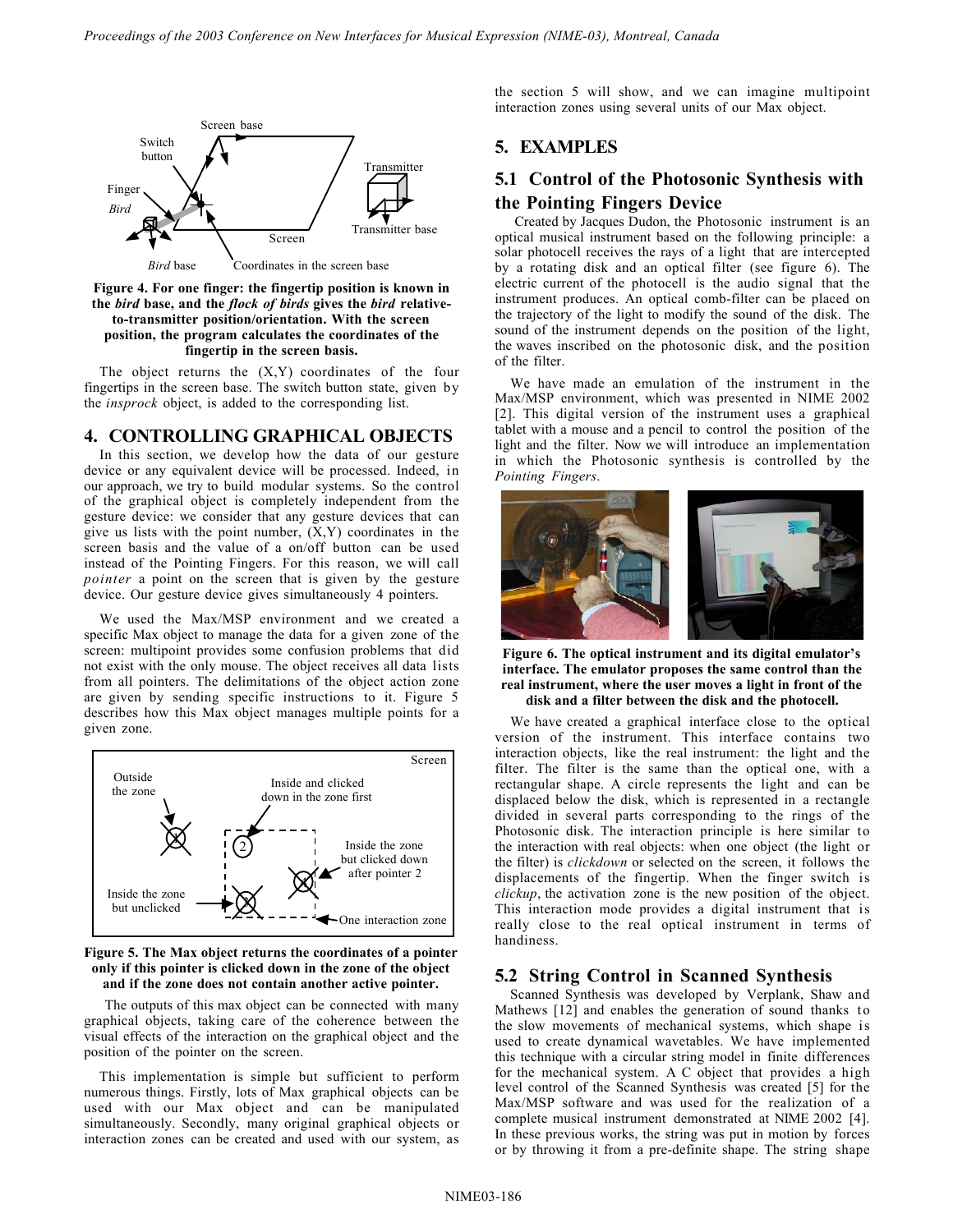

**Figure 4. For one finger: the fingertip position is known in the** *bird* **base, and the** *flock of birds* **gives the** *bird* **relativeto-transmitter position/orientation. With the screen position, the program calculates the coordinates of the fingertip in the screen basis.**

The object returns the  $(X, Y)$  coordinates of the four fingertips in the screen base. The switch button state, given by the *insprock* object, is added to the corresponding list.

#### **4. CONTROLLING GRAPHICAL OBJECTS**

In this section, we develop how the data of our gesture device or any equivalent device will be processed. Indeed, in our approach, we try to build modular systems. So the control of the graphical object is completely independent from the gesture device: we consider that any gesture devices that can give us lists with the point number,  $(X, Y)$  coordinates in the screen basis and the value of a on/off button can be used instead of the Pointing Fingers. For this reason, we will call *pointer* a point on the screen that is given by the gesture device. Our gesture device gives simultaneously 4 pointers.

We used the Max/MSP environment and we created a specific Max object to manage the data for a given zone of the screen: multipoint provides some confusion problems that did not exist with the only mouse. The object receives all data lists from all pointers. The delimitations of the object action zone are given by sending specific instructions to it. Figure 5 describes how this Max object manages multiple points for a given zone.



#### **Figure 5. The Max object returns the coordinates of a pointer only if this pointer is clicked down in the zone of the object and if the zone does not contain another active pointer.**

The outputs of this max object can be connected with many graphical objects, taking care of the coherence between the visual effects of the interaction on the graphical object and the position of the pointer on the screen.

This implementation is simple but sufficient to perform numerous things. Firstly, lots of Max graphical objects can be used with our Max object and can be manipulated simultaneously. Secondly, many original graphical objects or interaction zones can be created and used with our system, as the section 5 will show, and we can imagine multipoint interaction zones using several units of our Max object.

## **5. EXAMPLES**

## **5.1 Control of the Photosonic Synthesis with the Pointing Fingers Device**

Created by Jacques Dudon, the Photosonic instrument is an optical musical instrument based on the following principle: a solar photocell receives the rays of a light that are intercepted by a rotating disk and an optical filter (see figure 6). The electric current of the photocell is the audio signal that the instrument produces. An optical comb-filter can be placed on the trajectory of the light to modify the sound of the disk. The sound of the instrument depends on the position of the light, the waves inscribed on the photosonic disk, and the position of the filter.

We have made an emulation of the instrument in the Max/MSP environment, which was presented in NIME 2002 [2]. This digital version of the instrument uses a graphical tablet with a mouse and a pencil to control the position of the light and the filter. Now we will introduce an implementation in which the Photosonic synthesis is controlled by the *Pointing Fingers*.



**Figure 6. The optical instrument and its digital emulator's interface. The emulator proposes the same control than the real instrument, where the user moves a light in front of the disk and a filter between the disk and the photocell.**

We have created a graphical interface close to the optical version of the instrument. This interface contains two interaction objects, like the real instrument: the light and the filter. The filter is the same than the optical one, with a rectangular shape. A circle represents the light and can be displaced below the disk, which is represented in a rectangle divided in several parts corresponding to the rings of the Photosonic disk. The interaction principle is here similar to the interaction with real objects: when one object (the light or the filter) is *clickdown* or selected on the screen, it follows the displacements of the fingertip. When the finger switch is *clickup*, the activation zone is the new position of the object. This interaction mode provides a digital instrument that is really close to the real optical instrument in terms of handiness.

## **5.2 String Control in Scanned Synthesis**

Scanned Synthesis was developed by Verplank, Shaw and Mathews [12] and enables the generation of sound thanks to the slow movements of mechanical systems, which shape is used to create dynamical wavetables. We have implemented this technique with a circular string model in finite differences for the mechanical system. A C object that provides a high level control of the Scanned Synthesis was created [5] for the Max/MSP software and was used for the realization of a complete musical instrument demonstrated at NIME 2002 [4]. In these previous works, the string was put in motion by forces or by throwing it from a pre-definite shape. The string shape